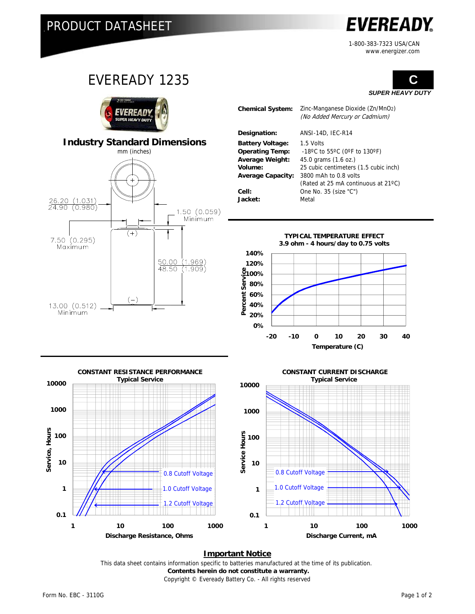**EVEREADY** 

1-800-383-7323 USA/CAN www.energizer.com



**Important Notice**

Copyright © Eveready Battery Co. - All rights reserved This data sheet contains information specific to batteries manufactured at the time of its publication.  **Contents herein do not constitute a warranty.**